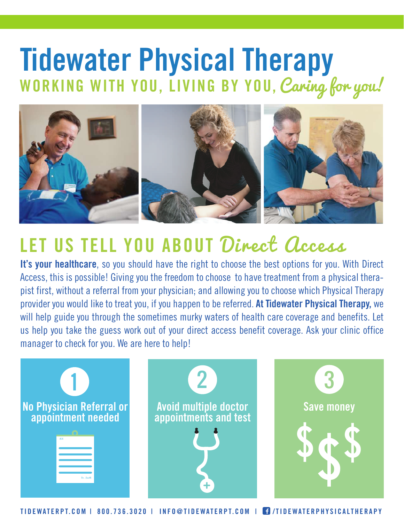## WORKING WITH YOU, LIVING BY YOU, Caring for you! **Tidewater Physical Therapy**



## **LET US TELL YOU ABOUT** Direct Access

**It's your healthcare**, so you should have the right to choose the best options for you. With Direct Access, this is possible! Giving you the freedom to choose to have treatment from a physical therapist first, without a referral from your physician; and allowing you to choose which Physical Therapy provider you would like to treat you, if you happen to be referred. **At Tidewater Physical Therapy,** we will help guide you through the sometimes murky waters of health care coverage and benefits. Let us help you take the guess work out of your direct access benefit coverage. Ask your clinic office manager to check for you. We are here to help!



TIDEWATERPT.COM | 800.736.3020 | INFO@TIDEWATERPT.COM | TIDEWATERPHYSICALTHERAPY